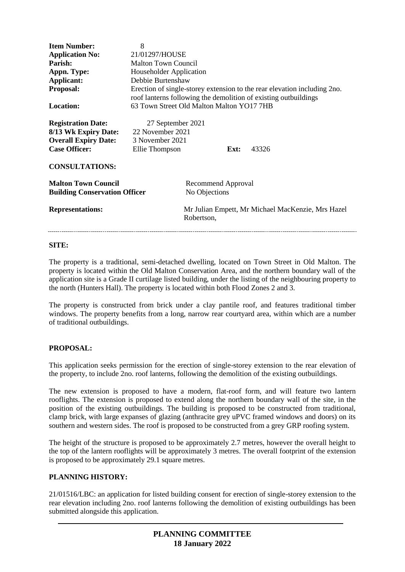| <b>Item Number:</b><br><b>Application No:</b><br>Parish:<br>Appn. Type:<br>Applicant:<br>Proposal:<br><b>Location:</b><br><b>Registration Date:</b><br>8/13 Wk Expiry Date: | 8<br>21/01297/HOUSE<br><b>Malton Town Council</b><br>Householder Application<br>Debbie Burtenshaw<br>Erection of single-storey extension to the rear elevation including 2no.<br>roof lanterns following the demolition of existing outbuildings<br>63 Town Street Old Malton Malton YO17 7HB<br>27 September 2021<br>22 November 2021 |                                                                 |  |  |
|-----------------------------------------------------------------------------------------------------------------------------------------------------------------------------|----------------------------------------------------------------------------------------------------------------------------------------------------------------------------------------------------------------------------------------------------------------------------------------------------------------------------------------|-----------------------------------------------------------------|--|--|
| <b>Overall Expiry Date:</b><br><b>Case Officer:</b>                                                                                                                         | 3 November 2021<br>43326<br>Ellie Thompson<br>Ext:                                                                                                                                                                                                                                                                                     |                                                                 |  |  |
| <b>CONSULTATIONS:</b>                                                                                                                                                       |                                                                                                                                                                                                                                                                                                                                        |                                                                 |  |  |
| <b>Malton Town Council</b><br><b>Building Conservation Officer</b>                                                                                                          |                                                                                                                                                                                                                                                                                                                                        | Recommend Approval<br>No Objections                             |  |  |
| <b>Representations:</b>                                                                                                                                                     |                                                                                                                                                                                                                                                                                                                                        | Mr Julian Empett, Mr Michael MacKenzie, Mrs Hazel<br>Robertson, |  |  |

### **SITE:**

The property is a traditional, semi-detached dwelling, located on Town Street in Old Malton. The property is located within the Old Malton Conservation Area, and the northern boundary wall of the application site is a Grade II curtilage listed building, under the listing of the neighbouring property to the north (Hunters Hall). The property is located within both Flood Zones 2 and 3.

The property is constructed from brick under a clay pantile roof, and features traditional timber windows. The property benefits from a long, narrow rear courtyard area, within which are a number of traditional outbuildings.

## **PROPOSAL:**

This application seeks permission for the erection of single-storey extension to the rear elevation of the property, to include 2no. roof lanterns, following the demolition of the existing outbuildings.

The new extension is proposed to have a modern, flat-roof form, and will feature two lantern rooflights. The extension is proposed to extend along the northern boundary wall of the site, in the position of the existing outbuildings. The building is proposed to be constructed from traditional, clamp brick, with large expanses of glazing (anthracite grey uPVC framed windows and doors) on its southern and western sides. The roof is proposed to be constructed from a grey GRP roofing system.

The height of the structure is proposed to be approximately 2.7 metres, however the overall height to the top of the lantern rooflights will be approximately 3 metres. The overall footprint of the extension is proposed to be approximately 29.1 square metres.

### **PLANNING HISTORY:**

21/01516/LBC: an application for listed building consent for erection of single-storey extension to the rear elevation including 2no. roof lanterns following the demolition of existing outbuildings has been submitted alongside this application.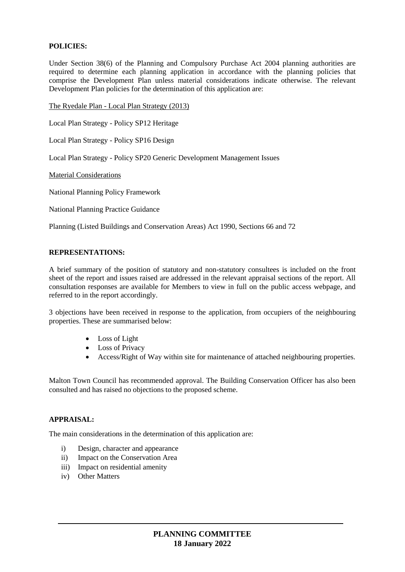## **POLICIES:**

Under Section 38(6) of the Planning and Compulsory Purchase Act 2004 planning authorities are required to determine each planning application in accordance with the planning policies that comprise the Development Plan unless material considerations indicate otherwise. The relevant Development Plan policies for the determination of this application are:

The Ryedale Plan - Local Plan Strategy (2013)

Local Plan Strategy - Policy SP12 Heritage

Local Plan Strategy - Policy SP16 Design

Local Plan Strategy - Policy SP20 Generic Development Management Issues

Material Considerations

National Planning Policy Framework

National Planning Practice Guidance

Planning (Listed Buildings and Conservation Areas) Act 1990, Sections 66 and 72

#### **REPRESENTATIONS:**

A brief summary of the position of statutory and non-statutory consultees is included on the front sheet of the report and issues raised are addressed in the relevant appraisal sections of the report. All consultation responses are available for Members to view in full on the public access webpage, and referred to in the report accordingly.

3 objections have been received in response to the application, from occupiers of the neighbouring properties. These are summarised below:

- Loss of Light
- Loss of Privacy
- Access/Right of Way within site for maintenance of attached neighbouring properties.

Malton Town Council has recommended approval. The Building Conservation Officer has also been consulted and has raised no objections to the proposed scheme.

### **APPRAISAL:**

The main considerations in the determination of this application are:

- i) Design, character and appearance
- ii) Impact on the Conservation Area
- iii) Impact on residential amenity
- iv) Other Matters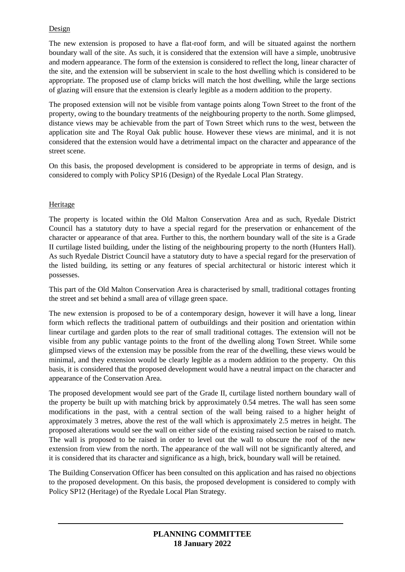# Design

The new extension is proposed to have a flat-roof form, and will be situated against the northern boundary wall of the site. As such, it is considered that the extension will have a simple, unobtrusive and modern appearance. The form of the extension is considered to reflect the long, linear character of the site, and the extension will be subservient in scale to the host dwelling which is considered to be appropriate. The proposed use of clamp bricks will match the host dwelling, while the large sections of glazing will ensure that the extension is clearly legible as a modern addition to the property.

The proposed extension will not be visible from vantage points along Town Street to the front of the property, owing to the boundary treatments of the neighbouring property to the north. Some glimpsed, distance views may be achievable from the part of Town Street which runs to the west, between the application site and The Royal Oak public house. However these views are minimal, and it is not considered that the extension would have a detrimental impact on the character and appearance of the street scene.

On this basis, the proposed development is considered to be appropriate in terms of design, and is considered to comply with Policy SP16 (Design) of the Ryedale Local Plan Strategy.

## Heritage

The property is located within the Old Malton Conservation Area and as such, Ryedale District Council has a statutory duty to have a special regard for the preservation or enhancement of the character or appearance of that area. Further to this, the northern boundary wall of the site is a Grade II curtilage listed building, under the listing of the neighbouring property to the north (Hunters Hall). As such Ryedale District Council have a statutory duty to have a special regard for the preservation of the listed building, its setting or any features of special architectural or historic interest which it possesses.

This part of the Old Malton Conservation Area is characterised by small, traditional cottages fronting the street and set behind a small area of village green space.

The new extension is proposed to be of a contemporary design, however it will have a long, linear form which reflects the traditional pattern of outbuildings and their position and orientation within linear curtilage and garden plots to the rear of small traditional cottages. The extension will not be visible from any public vantage points to the front of the dwelling along Town Street. While some glimpsed views of the extension may be possible from the rear of the dwelling, these views would be minimal, and they extension would be clearly legible as a modern addition to the property. On this basis, it is considered that the proposed development would have a neutral impact on the character and appearance of the Conservation Area.

The proposed development would see part of the Grade II, curtilage listed northern boundary wall of the property be built up with matching brick by approximately 0.54 metres. The wall has seen some modifications in the past, with a central section of the wall being raised to a higher height of approximately 3 metres, above the rest of the wall which is approximately 2.5 metres in height. The proposed alterations would see the wall on either side of the existing raised section be raised to match. The wall is proposed to be raised in order to level out the wall to obscure the roof of the new extension from view from the north. The appearance of the wall will not be significantly altered, and it is considered that its character and significance as a high, brick, boundary wall will be retained.

The Building Conservation Officer has been consulted on this application and has raised no objections to the proposed development. On this basis, the proposed development is considered to comply with Policy SP12 (Heritage) of the Ryedale Local Plan Strategy.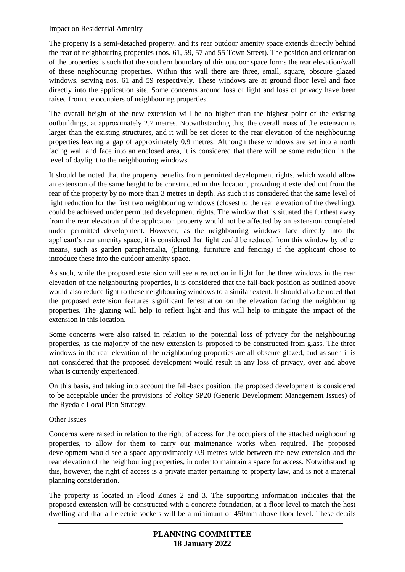### Impact on Residential Amenity

The property is a semi-detached property, and its rear outdoor amenity space extends directly behind the rear of neighbouring properties (nos. 61, 59, 57 and 55 Town Street). The position and orientation of the properties is such that the southern boundary of this outdoor space forms the rear elevation/wall of these neighbouring properties. Within this wall there are three, small, square, obscure glazed windows, serving nos. 61 and 59 respectively. These windows are at ground floor level and face directly into the application site. Some concerns around loss of light and loss of privacy have been raised from the occupiers of neighbouring properties.

The overall height of the new extension will be no higher than the highest point of the existing outbuildings, at approximately 2.7 metres. Notwithstanding this, the overall mass of the extension is larger than the existing structures, and it will be set closer to the rear elevation of the neighbouring properties leaving a gap of approximately 0.9 metres. Although these windows are set into a north facing wall and face into an enclosed area, it is considered that there will be some reduction in the level of daylight to the neighbouring windows.

It should be noted that the property benefits from permitted development rights, which would allow an extension of the same height to be constructed in this location, providing it extended out from the rear of the property by no more than 3 metres in depth. As such it is considered that the same level of light reduction for the first two neighbouring windows (closest to the rear elevation of the dwelling), could be achieved under permitted development rights. The window that is situated the furthest away from the rear elevation of the application property would not be affected by an extension completed under permitted development. However, as the neighbouring windows face directly into the applicant's rear amenity space, it is considered that light could be reduced from this window by other means, such as garden paraphernalia, (planting, furniture and fencing) if the applicant chose to introduce these into the outdoor amenity space.

As such, while the proposed extension will see a reduction in light for the three windows in the rear elevation of the neighbouring properties, it is considered that the fall-back position as outlined above would also reduce light to these neighbouring windows to a similar extent. It should also be noted that the proposed extension features significant fenestration on the elevation facing the neighbouring properties. The glazing will help to reflect light and this will help to mitigate the impact of the extension in this location.

Some concerns were also raised in relation to the potential loss of privacy for the neighbouring properties, as the majority of the new extension is proposed to be constructed from glass. The three windows in the rear elevation of the neighbouring properties are all obscure glazed, and as such it is not considered that the proposed development would result in any loss of privacy, over and above what is currently experienced.

On this basis, and taking into account the fall-back position, the proposed development is considered to be acceptable under the provisions of Policy SP20 (Generic Development Management Issues) of the Ryedale Local Plan Strategy.

## Other Issues

Concerns were raised in relation to the right of access for the occupiers of the attached neighbouring properties, to allow for them to carry out maintenance works when required. The proposed development would see a space approximately 0.9 metres wide between the new extension and the rear elevation of the neighbouring properties, in order to maintain a space for access. Notwithstanding this, however, the right of access is a private matter pertaining to property law, and is not a material planning consideration.

The property is located in Flood Zones 2 and 3. The supporting information indicates that the proposed extension will be constructed with a concrete foundation, at a floor level to match the host dwelling and that all electric sockets will be a minimum of 450mm above floor level. These details